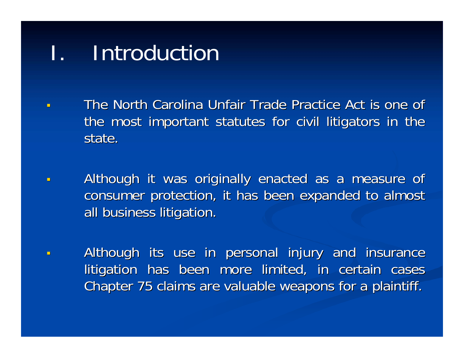# **Introduction**

- The North Carolina Unfair Trade Practice Act is one of the most important statutes for civil litigators in the state.
- П Although it was originally enacted as a measure of consumer protection, it has been expanded to almost all business litigation.
- $\blacksquare$ Although its use in personal injury and insurance litigation has been more limited, in certain cases Chapter 75 claims are valuable weapons for a plaintiff.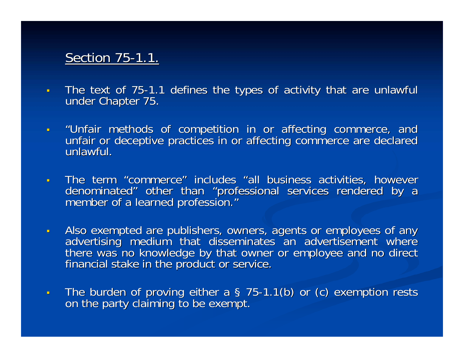#### Section 75-1.1.

- $\mathbf{r}$ The text of 75-1.1 defines the types of activity that are unlawful under Chapter 75.
- $\mathbf{u}$  . "Unfair methods of competition in or affecting commerce, and<br>unfair or deceptive practices in or affecting commerce are declared<br>unlawful.
- $\blacksquare$ The term "commerce" includes "all business activities, however denominated" other than "professional services rendered by a professional services rendered by a profession."
- $\blacksquare$ Also exempted are publishers, owners, agents or employees of any advertising medium that disseminates an advertisement where there was no knowledge by that owner or employee and no direct financial stake in the product or
- $\blacksquare$ The burden of proving either a § 75-1.1(b) or (c) exemption rests on the party claiming to be exempt.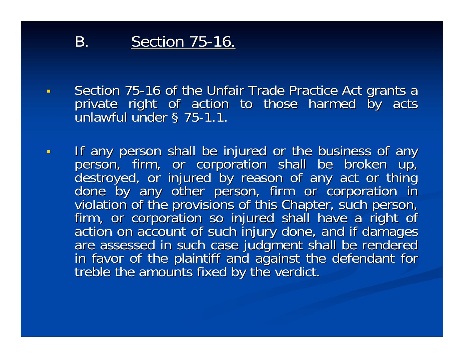### **B.** Section 75-16.

- $\mathbf{H}^{\mathrm{eff}}$ Section 75-16 of the Unfair Trade Practice Act grants a<br>private right of action to those harmed by acts<br>unlawful under § 75-1.1.
- $\blacksquare$ If any person shall be injured or the business of any<br>person, firm, or corporation shall be broken up,<br>destroyed, or injured by reason of any act or thing<br>done by any other person, firm or corporation in<br>violation of the p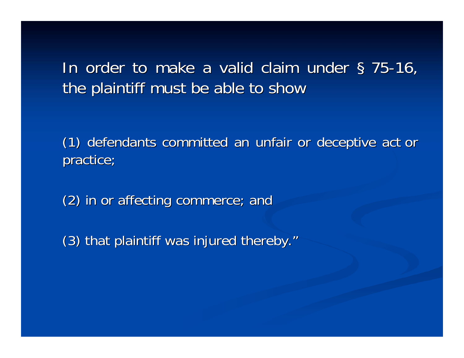In order to make a valid claim under § 75-16, the plaintiff must be able to show

(1) defendants committed an unfair or deceptive act or (1) defendants committed an unfair or deceptive act or practice;

(2) in or affecting commerce; and (2) in or affecting commerce; and

(3) that plaintiff was injured thereby."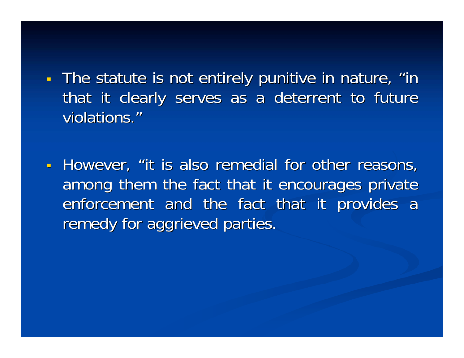- π The statute is not entirely punitive in nature, "in that it clearly serves as a deterrent to future violations."
- π - However, "it is also remedial for other reasons, among them the fact that it encourages private enforcement and the fact that it provides a remedy for aggrieved parties.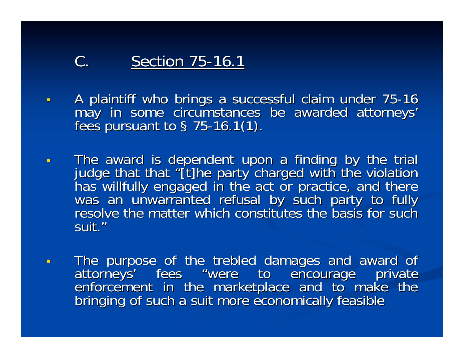### C. Section 75-16.1

- $\blacksquare$ A plaintiff who brings a successful claim under 75-16 may in some circumstances be awarded attorneys'<br>fees pursuant to § 75-16.1(1).
- $\blacksquare$ The award is dependent upon a finding by the trial<br>judge that that "[t]he party charged with the violation<br>has willfully engaged in the act or practice, and there<br>was an unwarranted refusal by such party to fully<br>resolve t suit."
- $\blacksquare$ The purpose of the trebled damages and award of<br>attorneys' fees "were to encourage private<br>enforcement in the marketplace and to make the<br>bringing of such a suit more economically feasible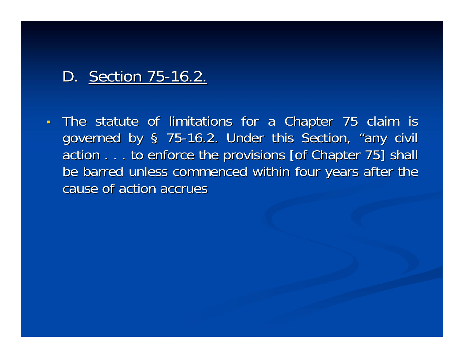### D. Section 75-16.2.

 $\blacksquare$ The statute of limitations for a Chapter 75 claim is governed by § 75-16.2. Under this Section, "any civil action . . . to enforce the provisions [of Chapter 75] shall be barred unless commenced within four years after the cause of action accrues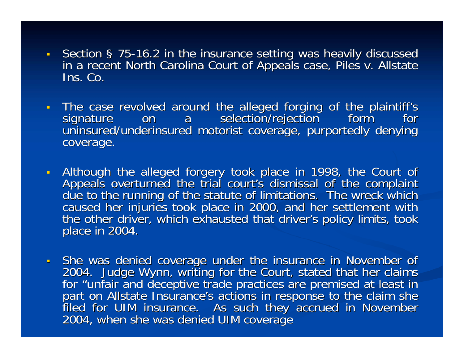- Section § 75-16.2 in the insurance setting was heavily discussed in a recent North Carolina Court of Appeals case, Piles v. Allstate<br>Ins. Co.
- The case revolved around the alleged forging of the plaintiff's<br>signature on a selection/rejection form for<br>uninsured/underinsured motorist coverage, purportedly denying coverage.
- Although the alleged forgery took place in 1998, the Court of Appeals overturned the trial court's dismissal of the complaint due to the running of the statute of limitations. The wreck which caused her injuries took pla
- She was denied coverage under the insurance in November of 2004. Judge Wynn, writing for the Court, stated that her claims<br>for "unfair and deceptive trade practices are premised at least in part on Allstate Insurance's actions in response to the claim she<br>filed for UIM insurance. As such they accrued in November<br>2004, when she was denied UIM coverage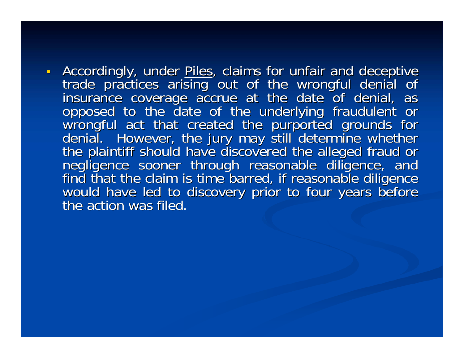- Accordingly, under Piles, claims for unfair and deceptive trade practices arising out of the wrongful denial of<br>insurance coverage accrue at the date of denial, as<br>opposed to the date of the underlying fraudulent or<br>wrongful act that created the purported grounds for<br>denial. Howe negligence sooner through reasonable diligence, and<br>find that the claim is time barred, if reasonable diligence<br>would have led to discovery prior to four years before<br>the action was filed.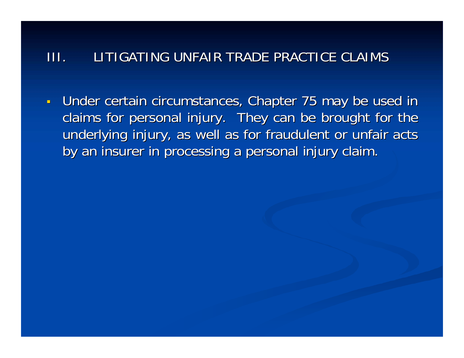#### III. LITIGATING UNFAIR TRADE PRACTICE CLAIMS LITIGATING UNFAIR TRADE PRACTICE CLAIMS

 $\blacksquare$ Under certain circumstances, Chapter 75 may be used in claims for personal injury. They can be brought for the underlying injury, as well as for fraudulent or unfair acts by an insurer in processing a personal injury claim.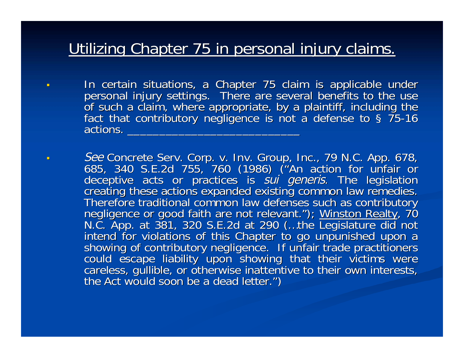## Utilizing Chapter 75 in personal injury claims.

- п In certain situations, a Chapter 75 claim is applicable under<br>personal injury settings. There are several benefits to the use<br>of such a claim, where appropriate, by a plaintiff, including the<br>fact that contributory neglige
- ▁ See Concrete Serv. Corp. v. Inv. Group, Inc., 79 N.C. App. 678,<br>685, 340 S.E.2d 755, 760 (1986) ("An action for unfair or deceptive acts or practices is *sui generis*. The legislation<br>creating these actions expanded existing common law remedies.<br>Therefore traditional common law defenses such as contributory negligence or good faith are not relevant."); Winston Realty, 70 negligence or good faith are not relevant."); <u>Winston Realty,</u> 70<br>N.C. App. at 381, 320 S.E.2d at 290 (...the Legislature did not N.C. App. at 381, 320 S.E.2d at 290 (...the Legislature did not<br>intend for violations of this Chapter to go unpunished upon a<br>showing of contributory negligence. If unfair trade practitioners<br>could escape liability upon sh ")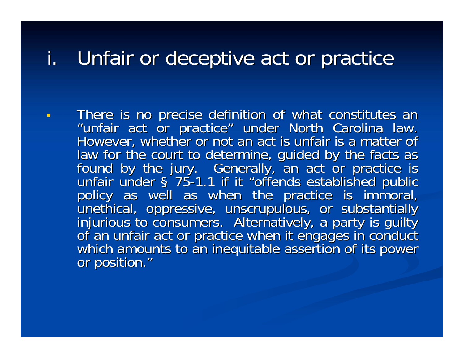## i. Unfair or deceptive act or practice

There is no precise definition of what constitutes an "unfair act or practice" under North Carolina law. However, whether or not an act is unfair is a matter of<br>law for the court to determine, guided by the facts as found by the jury. Generally, an act or practice is<br>unfair under § 75-1.1 if it "offends established public policy as well as when the practice is immoral, unethical, oppressive, unscrupulous, or substantially injurious to consumers. Alternatively, a party is guilty of an unfair act or practice when it engages in conduct which a or position."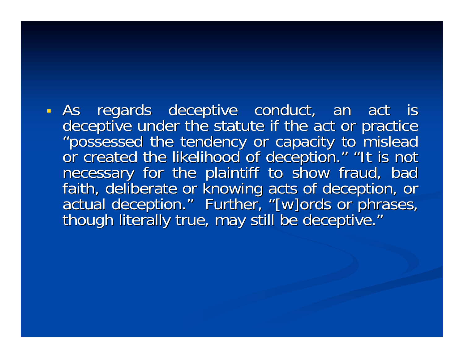- As regards deceptive conduct, an act is deceptive under the statute if the act or practice "possessed the tendency or capacity to mislead<br>or created the likelihood of deception." "It is not "" "It is not necessary for the plaintiff to show fraud, bad<br>faith, deliberate or knowing acts of deception, or<br>actual deception." Further, "[w]ords or phrases, actual deception." Further, "[w]ords or phrases,<br>though literally true, may still be deceptive." though literally true, may still be deceptive."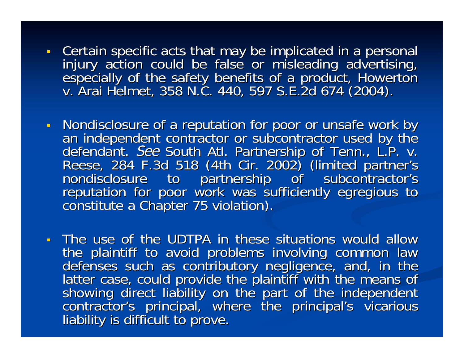- Certain specific acts that may be implicated in a personal injury action could be false or misleading advertising, especially of the safety benefits of a product, Howerton v. Arai Helmet, 358 N.C. 440, 597 S.E.2d 674 (2004).
- Nondisclosure of a reputation for poor or unsafe work by an independent contractor or subcontractor used by the<br>defendant. See South Atl. Partnership of Tenn., L.P. v.<br>Reese, 284 F.3d 518 (4th Cir. 2002) (limited partner's<br>nondisclosure to partnership of subcontractor's<br>reputati
- The use of the UDTPA in these situations would allow the plaintiff to avoid problems involving common law<br>defenses such as contributory negligence, and, in the<br>latter case, could provide the plaintiff with the means of<br>showing direct liability on the part of the independent contractor's principal, where the principal's vicarious liability is difficult to prove.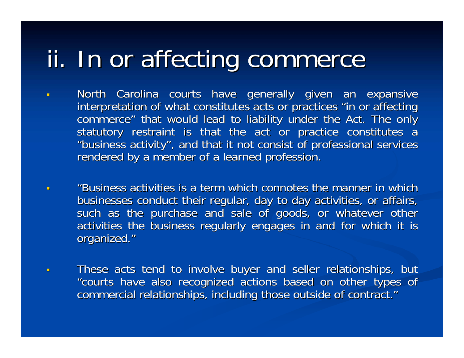# ii. In or affecting commerce

- u North Carolina courts have generally given an expansive interpretation of what constitutes acts or practices "in or affecting commerce" that would lead to liability under the Act. The only statutory restraint is that the act or practice constitutes a "business activity", and that it not consist of professional services rendered by a member of a learned profession.
- $\blacksquare$ "Business activities is a term which connotes the manner in which businesses conduct their regular, day to day activities, or affairs, such as the purchase and sale of goods, or whatever other activities the business regularly engages in and for which it is organized."
- $\blacksquare$ These acts tend to involve buyer and seller relationships, but "courts have also recognized actions based on other types of commercial relationships, including those outside of contract."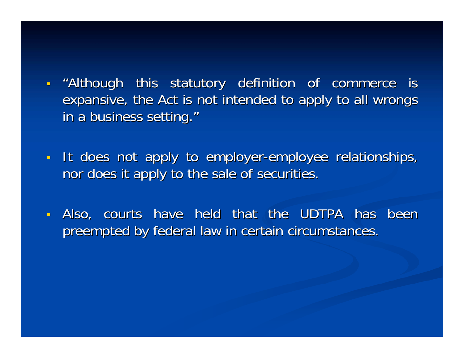I "Although this statutory definition of commerce is expansive, the Act is not intended to apply to all wrongs in a business setting."

It does not apply to employer-employee relationships, nor does it apply to the sale of securities.

 $\blacksquare$ Also, courts have held that the UDTPA has been preempted by federal law in certain circumstances.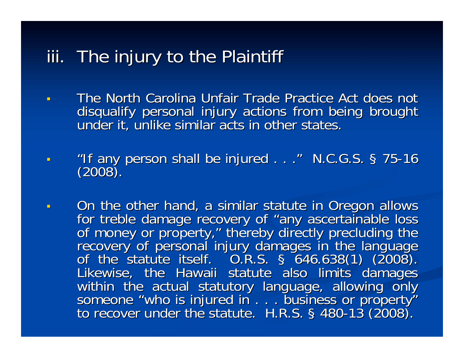## iii. The injury to the Plaintiff

- $\blacksquare$ The North Carolina Unfair Trade Practice Act does not disqualify personal injury actions from being brought disqualify personal injury actions from being brought
- $\blacksquare$ "If any person shall be injured . . ." N.C.G.S. § 75-16  $(2008)$ .
- $\blacksquare$ On the other hand, a similar statute in Oregon allows<br>for treble damage recovery of "any ascertainable loss for treble damage recovery of "any ascertainable loss<br>of money or property," thereby directly precluding the of money or property," thereby directly precluding the<br>recovery of personal injury damages in the language<br>of the statute itself. 0.R.S. § 646.638(1) (2008). Likewise, the Hawaii statute also limits damages<br>within the actual statutory language, allowing only someone "who is injured in . . . business or property"<br>to recover under the statute. H.R.S. § 480-13 (2008).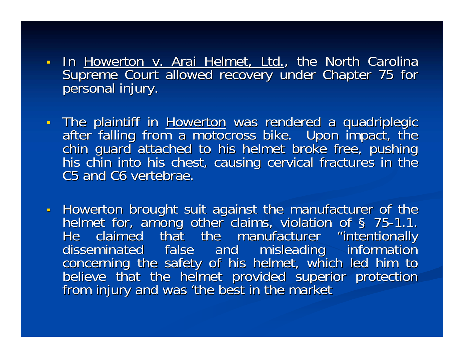- In <u>Howerton v. Arai Helmet, Ltd.</u>, the North Carolina **.** Supreme Court allowed recovery under Chapter 75 for personal injury.
- The plaintiff in Howerton was rendered a quadriplegic after falling from a motocross bike. Upon impact, the chin guard attached to his helmet broke free, pushing his chin into his chest, causing cervical fractures in the C5 and C6 vertebrae.
- Howerton brought suit against the manufacturer of the helmet for, among other claims, violation of § 75-1.1.<br>He claimed that the manufacturer "intentionally<br>disseminated false and misleading information concerning the safety of his helmet, which led him to<br>believe that the helmet provided superior protection<br>from injury and was 'the best in the market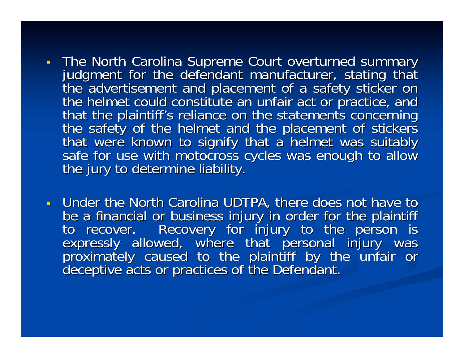- . The North Carolina Supreme Court overturned summary judgment for the defendant manufacturer, stating that<br>the advertisement and placement of a safety sticker on<br>the helmet could constitute an unfair act or practice, and<br>that the plaintiff's reliance on the statements concer
- Under the North Carolina UDTPA, there does not have to be a financial or business injury in order for the plaintiff<br>to recover. Recovery for injury to the person is<br>expressly allowed, where that personal injury was<br>proximately caused to the plaintiff by the unfair or<br>deceptive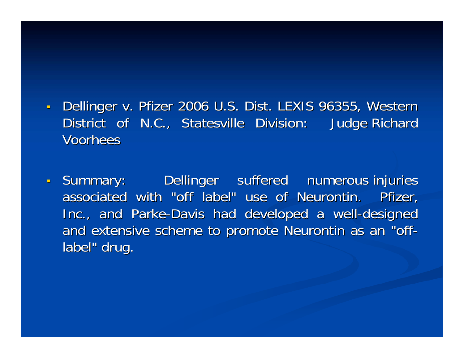- П Dellinger v. Pfizer 2006 U.S. Dist. LEXIS 96355, Western District of N.C., Statesville Division: Judge Richard Voorhees
- Summary: Dellinger suffered numerous injuries associated with "off label" use of Neurontin. Pfizer, Inc., and Parke-Davis had developed a well-designed and extensive scheme to promote Neurontin as an "offlabel" drug.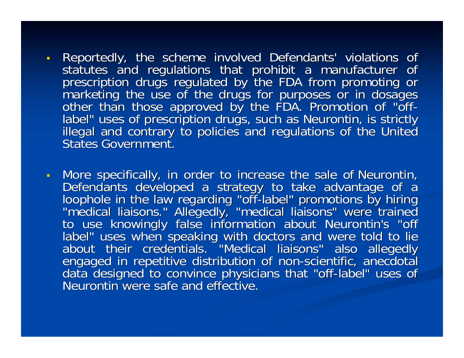- $\blacksquare$ Reportedly, the scheme involved Defendants' violations of<br>statutes and regulations that prohibit a manufacturer of<br>prescription drugs regulated by the FDA from promoting or<br>marketing the use of the drugs for purposes or in
- $\mathbf{u} \in \mathbb{R}^n$ More specifically, in order to increase the sale of Neurontin,<br>Defendants developed a strategy to take advantage of a<br>loophole in the law regarding "off-label" promotions by hiring<br>"medical liaisons." Allegedly, "medical l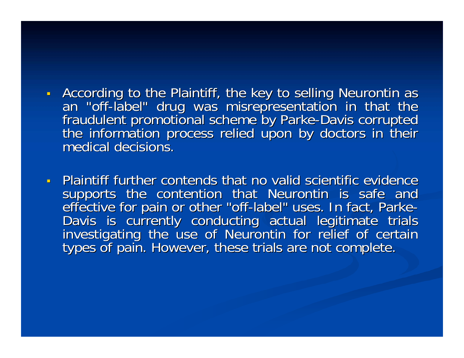**According to the Plaintiff, the key to selling Neurontin as** an "off-label" drug was misrepresentation in that the<br>fraudulent promotional scheme by Parke-Davis corrupted<br>the information process relied upon by doctors in their<br>medical decisions.

**Plaintiff further contends that no valid scientific evidence** supports the contention that Neurontin is safe and<br>effective for pain or other "off-label" uses. In fact, Parke-<br>Davis is currently conducting actual legitimate trials<br>investigating the use of Neurontin for relief of certa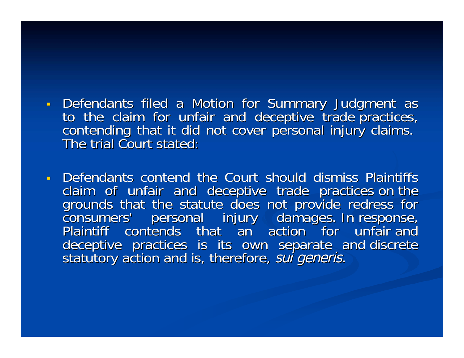- Defendants filed a Motion for Summary Judgment as to the claim for unfair and deceptive trade practices,<br>contending that it did not cover personal injury claims.<br>The trial Court stated:
- Defendants contend the Court should dismiss Plaintiffs claim of unfair and deceptive trade practices.on-the<br>grounds that the statute does not provide redress for<br>consumers' personal injury damages.In-response,<br>Plaintiff contends that an action for unfair-and deceptive practices is its own separate and discrete<br>statutory action and is, therefore, *sui generis.*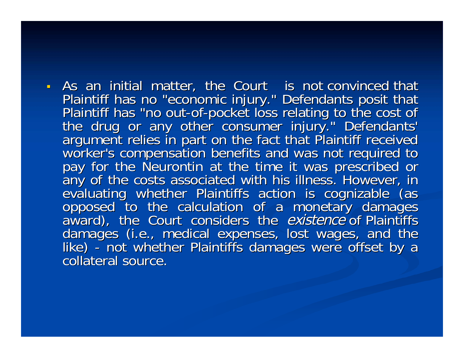If As an initial matter, the Court is not convinced that Plaintiff has no "economic injury." Defendants posit that<br>Plaintiff has "no out-of-pocket loss relating to the cost of<br>the drug or any other consumer injury." Defendants'<br>argument relies in part on the fact that Plaintiff any of the costs associated with his illness. However, in evaluating whether Plaintiffs action is cognizable (as opposed to the calculation of a monetary damages award), the Court considers the *existence* of Plaintiffs da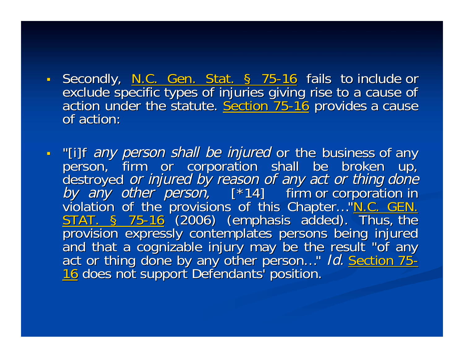- ٦ Secondly, <u>N.C. Gen. Stat. § 75-16</u> fails to include or<br>exclude specific types of injuries giving rise to a cause of<br>action under the statute. <u>Section 75-16</u> provides a cause<br>of action:
- н Filar any person shall be injured or the business of any<br>person, firm or corporation shall be broken up,<br>destroyed *or injured by reason of any act or thing done*<br>by any other person,  $[^*14]$  firm or corporation in<br>violat …" *Id.* Section 75-<u>16</u> does not support Defendants' position.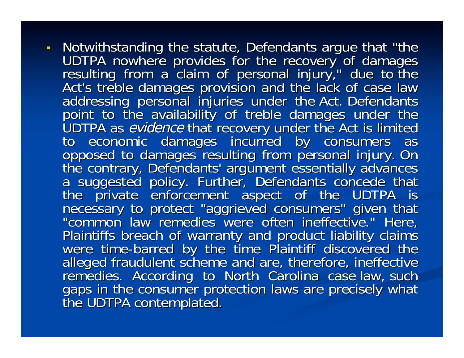- Notwithstanding the statute, Defendants argue that "the Notwithstanding the statute, Detendants argue that the<br>UDTPA nowhere provides for the recovery of damages<br>resulting from a claim of personal injury," due to the<br>Act's treble damages provision and the lack of case law<br>addre Plaintiffs breach of warranty and product liability claims<br>were time-barred by the time Plaintiff discovered the<br>alleged fraudulent scheme and are, therefore, ineffective<br>remedies. According to North Carolina case-law, suc gaps in the consumer protection laws are precisely what<br>the UDTPA contemplated.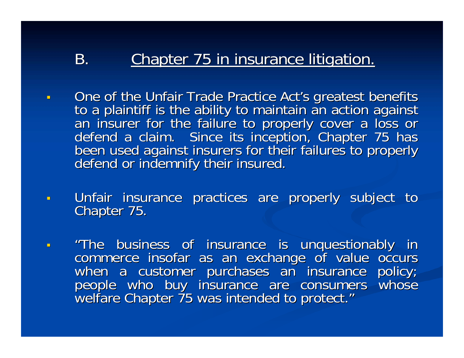#### B. Chapter 75 in insurance litigation. Chapter 75 in insurance litigation.

- $\blacksquare$ One of the Unfair Trade Practice Act's greatest benefits<br>to a plaintiff is the ability to maintain an action against<br>an insurer for the failure to properly cover a loss or<br>defend a claim. Since its inception, Chapter 75 ha
- $\blacksquare$ Unfair insurance practices are properly subject to Chapter 75.
- $\blacksquare$ "The business of insurance is unquestionably in<br>commerce insofar as an exchange of value occurs<br>when a customer purchases an insurance policy;<br>people who buy insurance are consumers whose welfare Chapter 75 was intended to protect."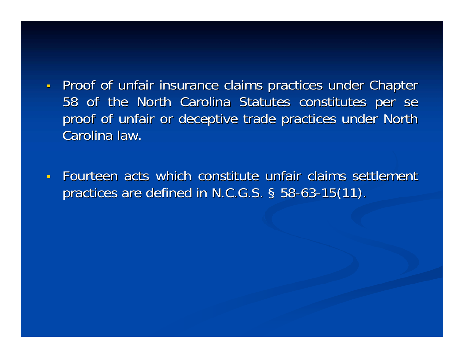- ٦ **Proof of unfair insurance claims practices under Chapter** 58 of the North Carolina Statutes constitutes per se proof of unfair or deceptive trade practices under North Carolina law.
- $\blacksquare$ Fourteen acts which constitute unfair claims settlement practices are defined in N.C.G.S.  $\S$  58-63-15(11).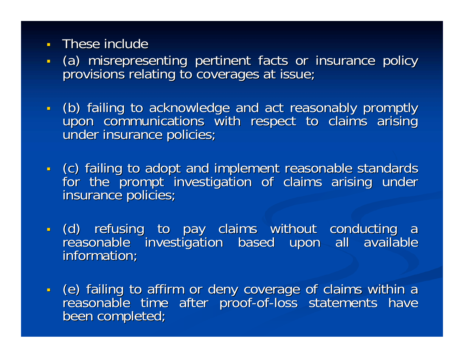- ٦ These include
- ٦ - (a) misrepresenting pertinent facts or insurance policy<br>provisions relating to coverages at issue;
- н - (b) failing to acknowledge and act reasonably promptly<br>upon communications with respect to claims arising<br>under insurance policies;
- (c) failing to adopt and implement reasonable standards<br>for the prompt investigation of claims arising under<br>insurance policies;
- (d) refusing to pay claims without conducting a reasonable investigation based upon all available information;
- (e) failing to affirm or deny coverage of claims within a reasonable time after proof-of-loss statements have<br>been completed;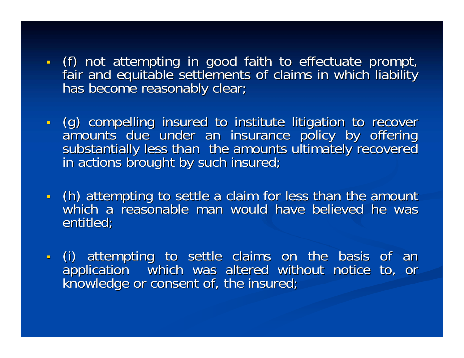- ٦ - (f) not attempting in good faith to effectuate prompt,<br>fair and equitable settlements of claims in which liability<br>has become reasonably clear;
- · (g) compelling insured to institute litigation to recover amounts' due under an insurance policy by offering<br>substantially less than the amounts ultimately recovered<br>in actions brought by such insured;
- I (h) attempting to settle a claim for less than the amount (h) attempting to settle a claim for less than the amount which a reasonable man would have believed he was entitled;
- (i) attempting to settle claims on the basis of an<br>application which was altered without notice to, or<br>knowledge or consent of, the insured;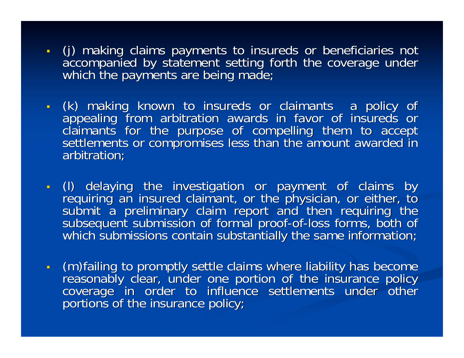- . (j) making claims payments to insureds or beneficiaries not accompanied by statement setting forth the coverage under<br>which the payments are being made;
- П - (k) making known to insureds or claimants a policy of appealing from arbitration awards in favor of insureds or claimants for the purpose of compelling them to accept settlements or compromises less than the amount award
- П - (I) delaying the investigation or payment of claims by<br>requiring an insured claimant, or the physician, or either, to<br>submit a preliminary claim report and then requiring the<br>subsequent submission of formal proof-of-loss
- П If an interest the claims where liability has become (m)failing to promptly settle claims where liability has become<br>reasonably clear, under one portion of the insurance policy coverage in order to influence settlements under other<br>portions of the insurance policy;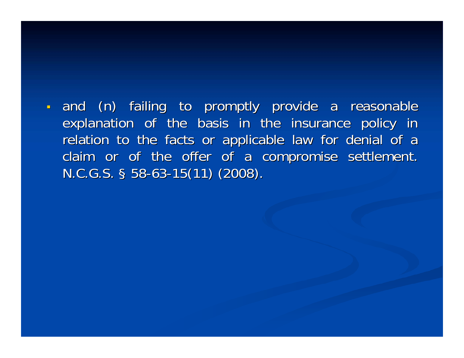П and (n) failing to promptly provide a reasonable explanation of the basis in the insurance policy in relation to the facts or applicable law for denial of a claim or of the offer of a compromise settlement.  $N.C.G.S.$  § 58-63-15(11) (2008).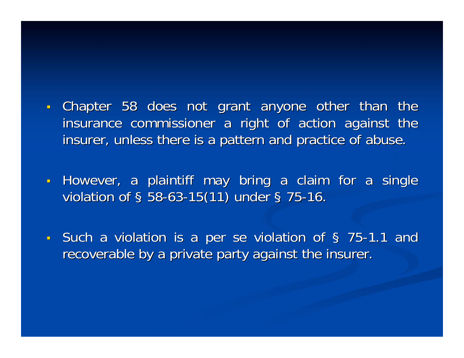- П Chapter 58 does not grant anyone other than the insurance commissioner a right of action against the insurer, unless there is a pattern and practice of abuse.
- However, a plaintiff may bring a claim for a single violation of  $\S$  58-63-15(11) under  $\S$  75-16.
- Such a violation is a per se violation of § 75-1.1 and recoverable by a private party against the insurer.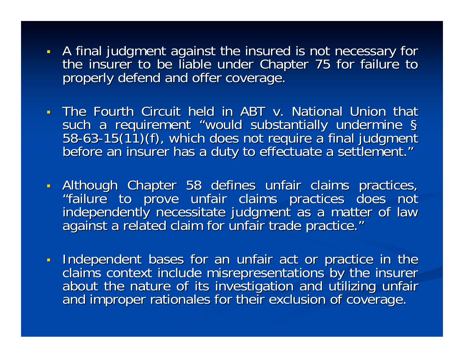- A final judgment against the insured is not necessary for the insurer to be liable under Chapter 75 for failure to properly defend and offer coverage.
- The Fourth Circuit held in ABT v. National Union that such a requirement "would substantially undermine §<br>58-63-15(11)(f), which does not require a final judgment such a requirement "would substantially undermine §<br>58-63-15(11)(f), which does not require a final judgment<br>before an insurer has a duty to effectuate a settlement." "
- Although Chapter 58 defines unfair claims practices, "failure to prove unfair claims practices does not<br>independently necessitate judgment as a matter of law against a related claim for unfair trade practice."
- Independent bases for an unfair act or practice in the claims context include misrepresentations by the insurer<br>about the nature of its investigation and utilizing unfair<br>and improper rationales for their exclusion of coverage.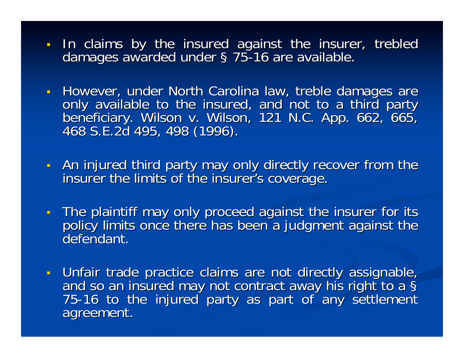- ٦ In claims by the insured against the insurer, trebled damages awarded under § 75-16 are available.
- However, under North Carolina law, treble damages are only available to the insured, and not to a third party<br>beneficiary. Wilson v. Wilson, 121 N.C. App. 662, 665,<br>468 S.E.2d 495, 498 (1996).
- An injured third party may only directly recover from the insurer the limits of the insurer's coverage.
- The plaintiff may only proceed against the insurer for its policy limits once there has been a judgment against the defendant.
- Unfair trade practice claims are not directly assignable, and so an insured may not contract away his right to a §<br>75-16 to the injured party as part of any settlement agreement. agreement.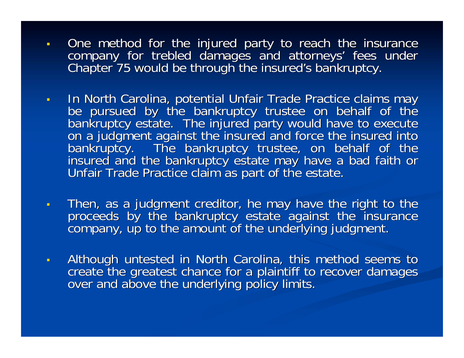- $\blacksquare$ One method for the injured party to reach the insurance company for trebled damages and attorneys' fees under<br>Chapter 75 would be through the insured's bankruptcy.
- $\mathbf{r}$ In North Carolina, potential Unfair Trade Practice claims may<br>be pursued by the bankruptcy trustee on behalf of the<br>bankruptcy estate. The injured party would have to execute<br>on a judgment against the insured and force the
- $\blacksquare$ Then, as a judgment creditor, he may have the right to the proceeds by the bankruptcy estate against the insurance company, up to the amount of the underlying judgment.
- $\blacksquare$ Although untested in North Carolina, this method seems to<br>create the greatest chance for a plaintiff to recover damages<br>over and above the underlying policy limits.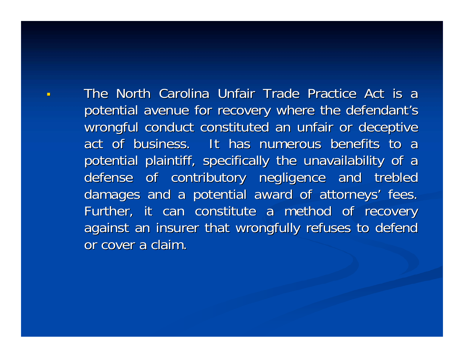The North Carolina Unfair Trade Practice Act is a potential avenue for recovery where the defendant's wrongful conduct constituted an unfair or deceptive act of business. It has numerous benefits to a potential plaintiff, specifically the unavailability of a defense of contributory negligence and trebled damages and a potential award of attorneys' fees. Further, it can constitute a method of recovery against an insurer that wrongfully refuses to defend or cover a claim.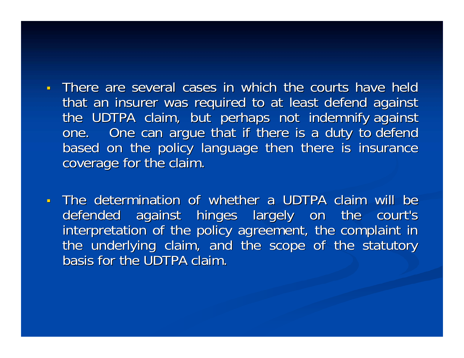- There are several cases in which the courts have held that an insurer was required to at least defend against the UDTPA claim, but perhaps not indemnify against one. One can argue that if there is a duty to defend based on the policy language then there is insurance coverage for the claim.
- $\blacksquare$ The determination of whether a UDTPA claim will be defended against hinges largely on the court's interpretation of the policy agreement, the complaint in the underlying claim, and the scope of the statutory basis for the UDTPA claim.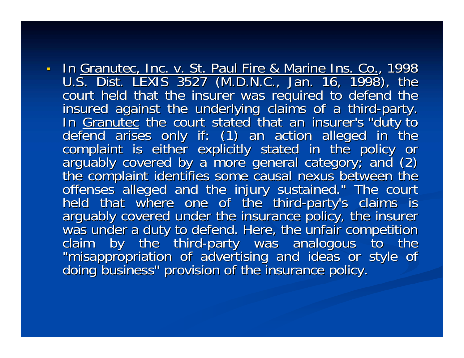In Granutec, Inc. v. St. Paul Fire & Marine Ins. Co., 1998 U.S. Dist. LEXIS 3527 (M.D.N.C., Jan. 16, 1998), the U.S. UIST. LEXIS 3527 (W.D.N.C., Jan. 16, 1998), the<br>court held that the insurer was required to defend the<br>insured against the underlying claims of a third-party.<br>In <u>Granutec</u> the court stated that an insurer's "duty to<br>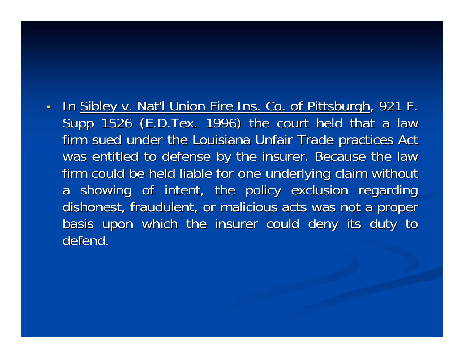П <u>In Sibley v. Nat'l Union Fire Ins. Co. of Pittsburgh,</u> 921 F. , 921 F. , 921 F. , 921 F. , 921 F. , 921 F. , 921 F Supp 1526 (E.D.Tex. 1996) the court held that a law firm sued under the Louisiana Unfair Trade practices Act was entitled to defense by the insurer. Because the law firm could be held liable for one underlying claim without a showing of intent, the policy exclusion regarding dishonest, fraudulent, or malicious acts was not a proper basis upon which the insurer could deny its duty to defend.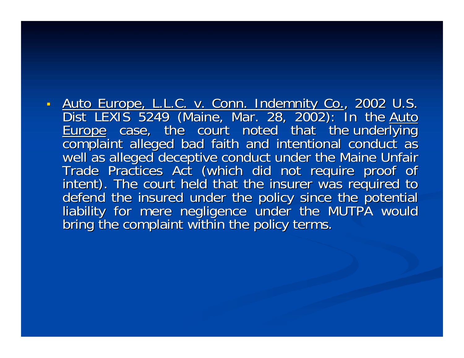$\blacksquare$ Auto Europe, L.L.C. v. Conn. Indemnity Co., 2002 U.S.<br>Dist LEXIS 5249 (Maine, Mar. 28, 2002): In the Auto<br>Europe, case, the court noted that the underlying<br>complaint alleged bad faith and intentional conduct as well as alleged deceptive conduct under the Maine Unfair<br>Trade Practices Act (which did not require proof of<br>intent). The court held that the insurer was required to<br>defend the insured under the policy since the potential<br>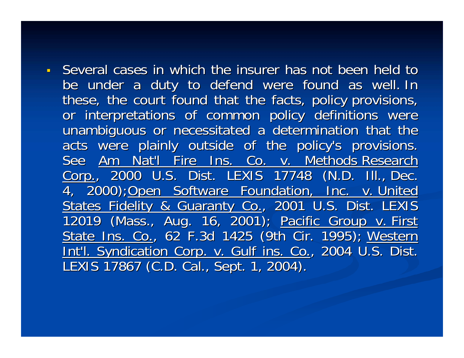Several cases in which the insurer has not been held to be under a duty to defend were found as well. In these, the court found that the facts, policy provisions, or interpretations of common policy definitions were unambiguous or necessitated a determination that the acts were plainly outside of the policy's provisions. See Am Nat'l Fire Ins. Co. v. Methods Research Corp., 2000 U.S. Dist. LEXIS 17748 (N.D. III., Dec. 4, 2000);Open Software Foundation, Inc. v. United States Fidelity & Guaranty Co., 2001 U.S. Dist. LEXIS 12019 (Mass., Aug. 16, 2001); Pacific Group v. First State Ins. Co., 62 F.3d 1425 (9th Cir. 1995); Western Int'l. Syndication Corp. v. Gulf ins. Co., 2004 U.S. Dist. LEXIS 17867 (C.D. Cal., Sept. 1, 2004).